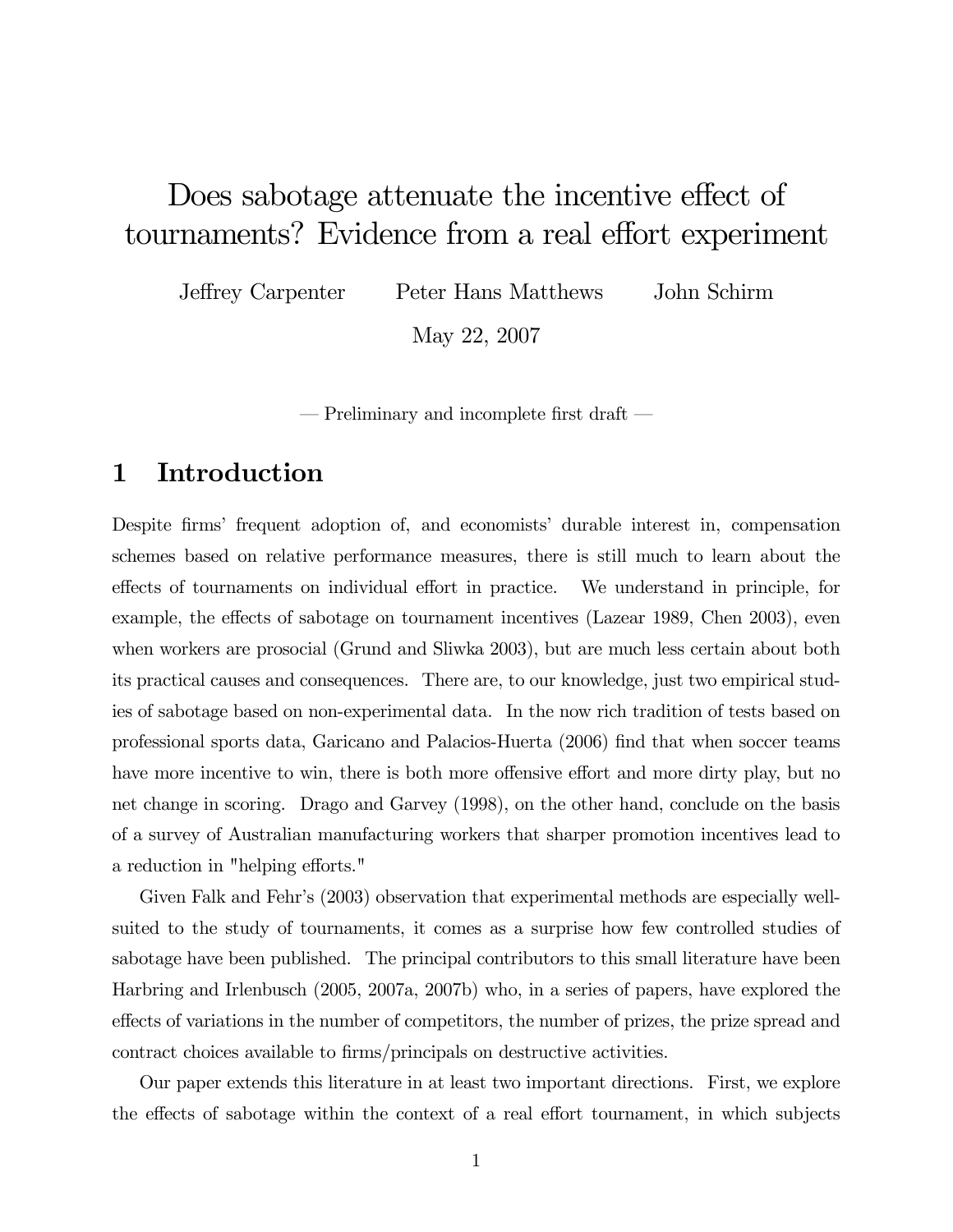# Does sabotage attenuate the incentive effect of tournaments? Evidence from a real effort experiment

Jeffrey Carpenter Peter Hans Matthews John Schirm

May 22, 2007

– Preliminary and incomplete first draft –

### 1 Introduction

Despite firms' frequent adoption of, and economists' durable interest in, compensation schemes based on relative performance measures, there is still much to learn about the effects of tournaments on individual effort in practice. We understand in principle, for example, the effects of sabotage on tournament incentives (Lazear 1989, Chen 2003), even when workers are prosocial (Grund and Sliwka 2003), but are much less certain about both its practical causes and consequences. There are, to our knowledge, just two empirical studies of sabotage based on non-experimental data. In the now rich tradition of tests based on professional sports data, Garicano and Palacios-Huerta (2006) find that when soccer teams have more incentive to win, there is both more offensive effort and more dirty play, but no net change in scoring. Drago and Garvey (1998), on the other hand, conclude on the basis of a survey of Australian manufacturing workers that sharper promotion incentives lead to a reduction in "helping efforts."

Given Falk and Fehr's (2003) observation that experimental methods are especially wellsuited to the study of tournaments, it comes as a surprise how few controlled studies of sabotage have been published. The principal contributors to this small literature have been Harbring and Irlenbusch (2005, 2007a, 2007b) who, in a series of papers, have explored the effects of variations in the number of competitors, the number of prizes, the prize spread and contract choices available to firms/principals on destructive activities.

Our paper extends this literature in at least two important directions. First, we explore the effects of sabotage within the context of a real effort tournament, in which subjects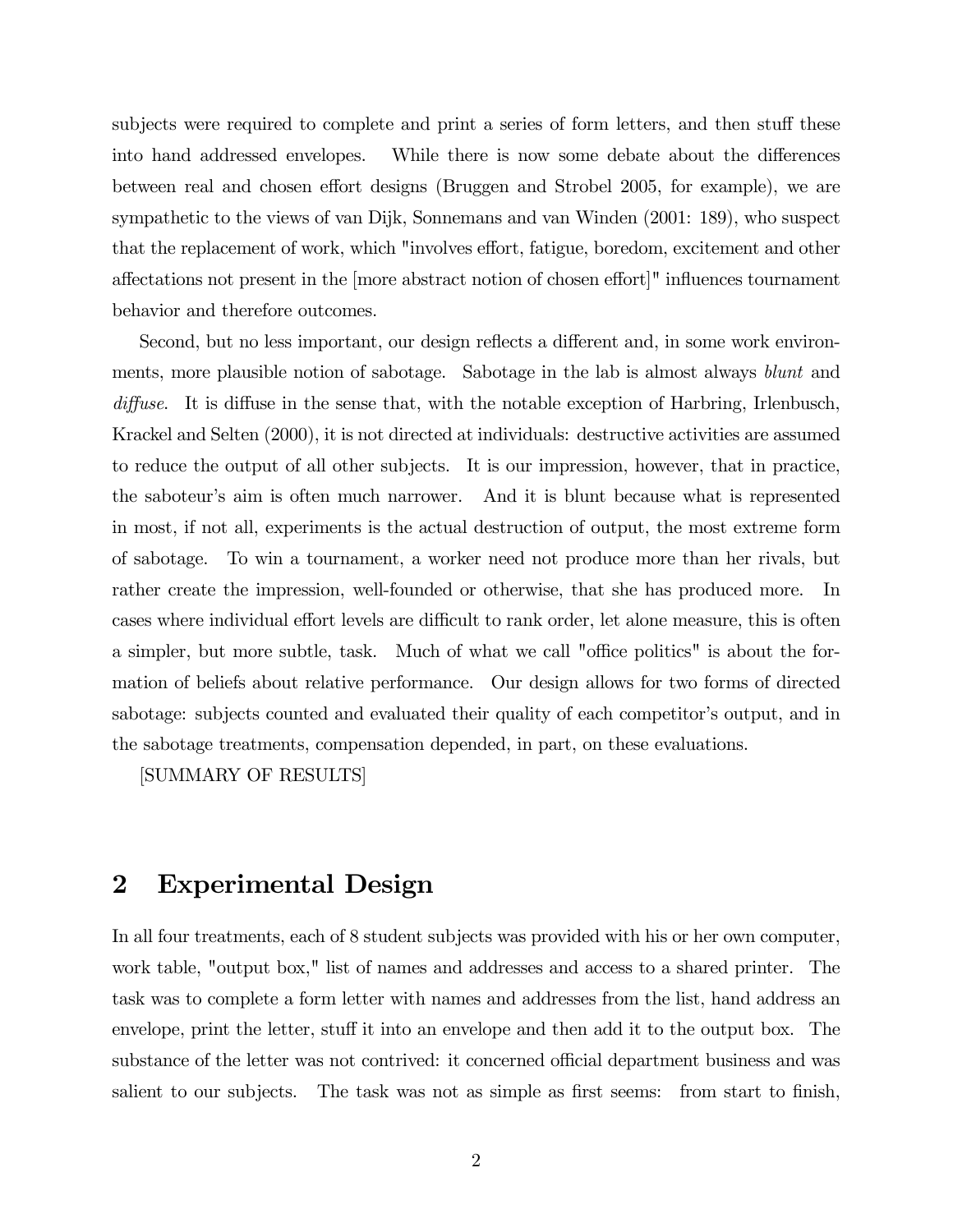subjects were required to complete and print a series of form letters, and then stuff these into hand addressed envelopes. While there is now some debate about the differences between real and chosen effort designs (Bruggen and Strobel 2005, for example), we are sympathetic to the views of van Dijk, Sonnemans and van Winden (2001: 189), who suspect that the replacement of work, which "involves effort, fatigue, boredom, excitement and other affectations not present in the [more abstract notion of chosen effort]" influences tournament behavior and therefore outcomes.

Second, but no less important, our design reflects a different and, in some work environments, more plausible notion of sabotage. Sabotage in the lab is almost always blunt and diffuse. It is diffuse in the sense that, with the notable exception of Harbring, Irlenbusch, Krackel and Selten (2000), it is not directed at individuals: destructive activities are assumed to reduce the output of all other subjects. It is our impression, however, that in practice, the saboteur's aim is often much narrower. And it is blunt because what is represented in most, if not all, experiments is the actual destruction of output, the most extreme form of sabotage. To win a tournament, a worker need not produce more than her rivals, but rather create the impression, well-founded or otherwise, that she has produced more. In cases where individual effort levels are difficult to rank order, let alone measure, this is often a simpler, but more subtle, task. Much of what we call "office politics" is about the formation of beliefs about relative performance. Our design allows for two forms of directed sabotage: subjects counted and evaluated their quality of each competitor's output, and in the sabotage treatments, compensation depended, in part, on these evaluations.

[SUMMARY OF RESULTS]

#### 2 Experimental Design

In all four treatments, each of 8 student subjects was provided with his or her own computer, work table, "output box," list of names and addresses and access to a shared printer. The task was to complete a form letter with names and addresses from the list, hand address an envelope, print the letter, stuff it into an envelope and then add it to the output box. The substance of the letter was not contrived: it concerned official department business and was salient to our subjects. The task was not as simple as first seems: from start to finish,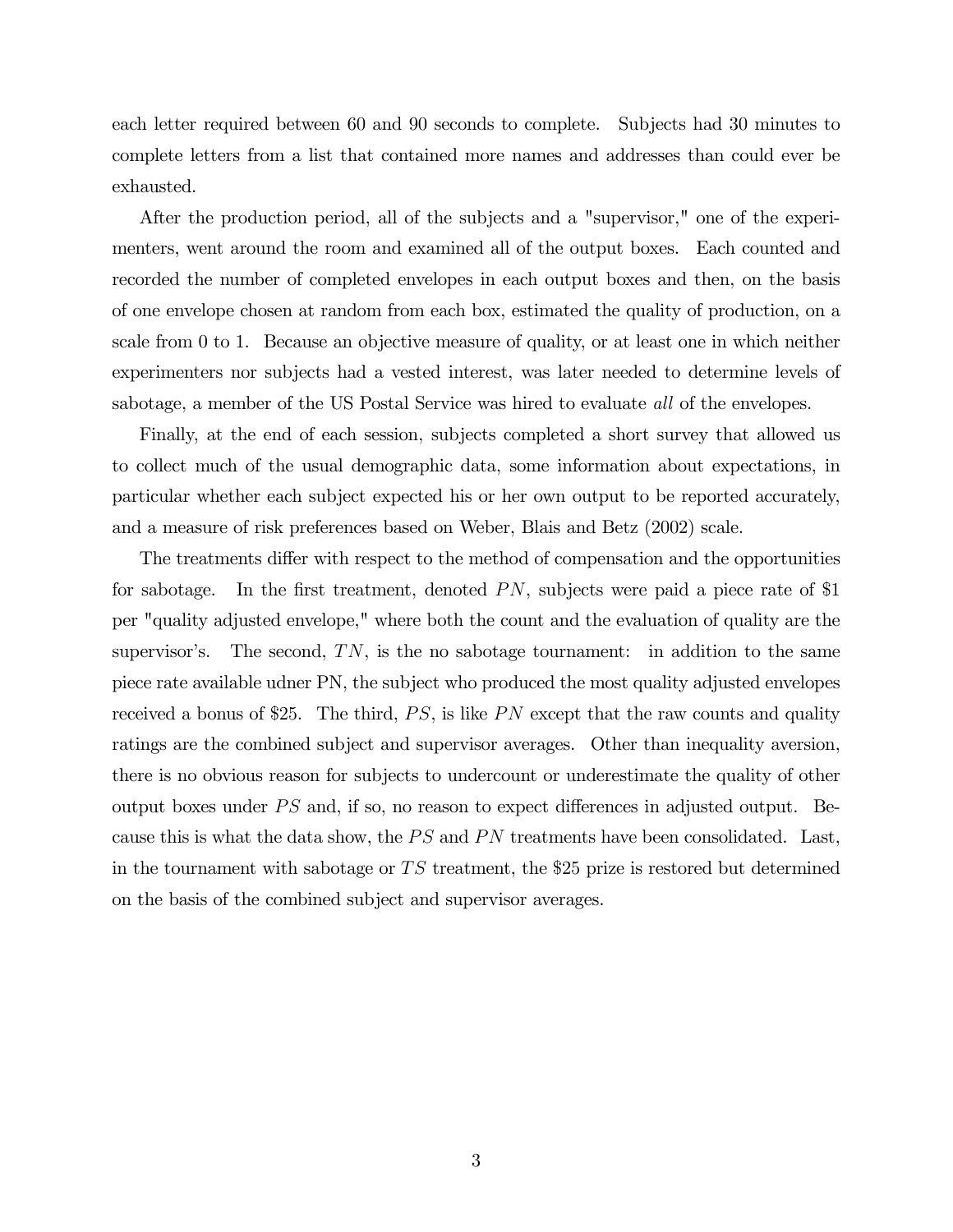each letter required between 60 and 90 seconds to complete. Subjects had 30 minutes to complete letters from a list that contained more names and addresses than could ever be exhausted.

After the production period, all of the subjects and a "supervisor," one of the experimenters, went around the room and examined all of the output boxes. Each counted and recorded the number of completed envelopes in each output boxes and then, on the basis of one envelope chosen at random from each box, estimated the quality of production, on a scale from 0 to 1. Because an objective measure of quality, or at least one in which neither experimenters nor subjects had a vested interest, was later needed to determine levels of sabotage, a member of the US Postal Service was hired to evaluate *all* of the envelopes.

Finally, at the end of each session, subjects completed a short survey that allowed us to collect much of the usual demographic data, some information about expectations, in particular whether each subject expected his or her own output to be reported accurately, and a measure of risk preferences based on Weber, Blais and Betz (2002) scale.

The treatments differ with respect to the method of compensation and the opportunities for sabotage. In the first treatment, denoted PN, subjects were paid a piece rate of \$1 per "quality adjusted envelope," where both the count and the evaluation of quality are the supervisor's. The second,  $TN$ , is the no sabotage tournament: in addition to the same piece rate available udner PN, the subject who produced the most quality adjusted envelopes received a bonus of \$25. The third,  $PS$ , is like  $PN$  except that the raw counts and quality ratings are the combined subject and supervisor averages. Other than inequality aversion, there is no obvious reason for subjects to undercount or underestimate the quality of other output boxes under  $PS$  and, if so, no reason to expect differences in adjusted output. Because this is what the data show, the  $PS$  and  $PN$  treatments have been consolidated. Last, in the tournament with sabotage or  $TS$  treatment, the \$25 prize is restored but determined on the basis of the combined subject and supervisor averages.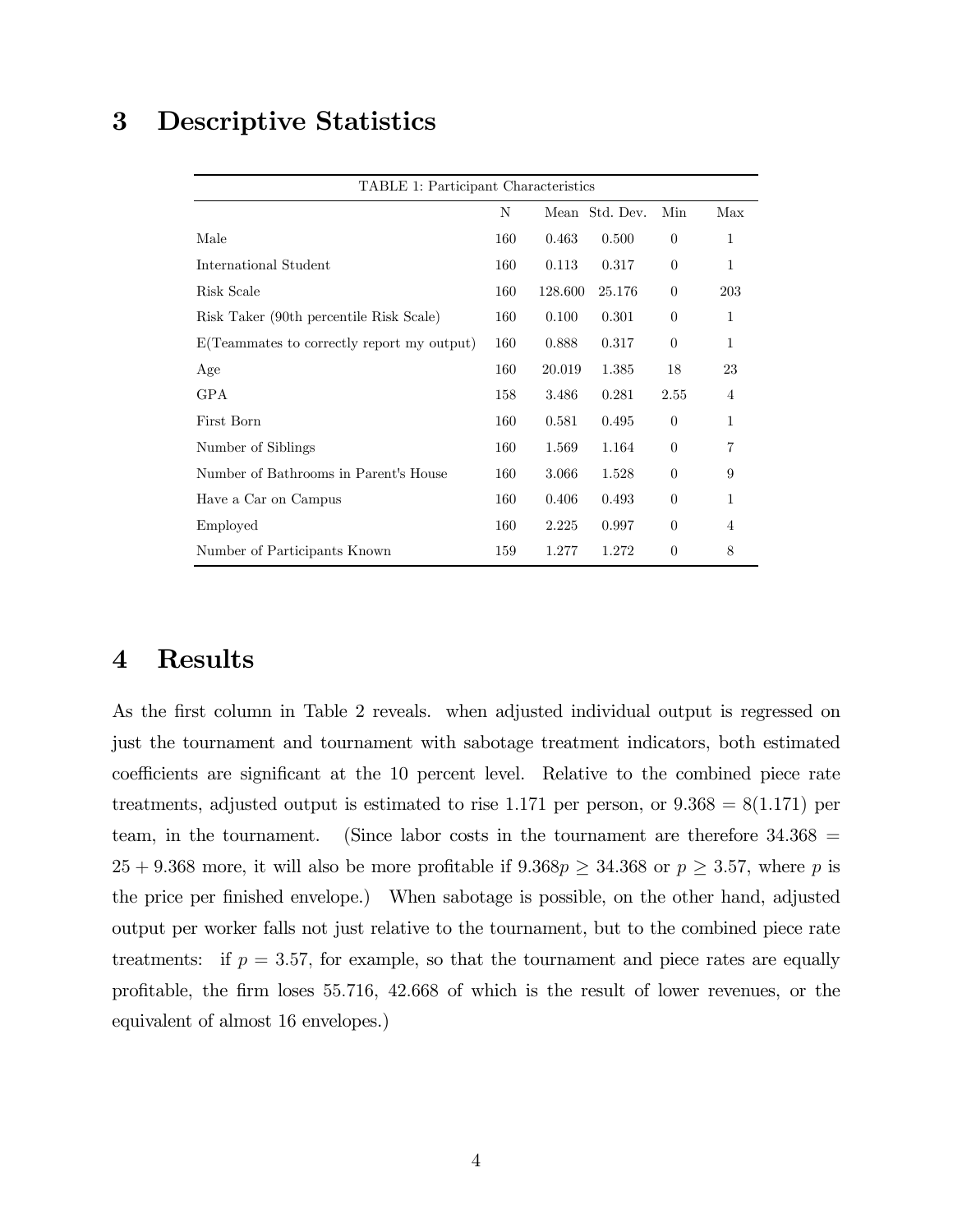#### 3 Descriptive Statistics

| TABLE 1: Participant Characteristics       |     |         |                |                |                |
|--------------------------------------------|-----|---------|----------------|----------------|----------------|
|                                            | N   |         | Mean Std. Dev. | Min            | Max            |
| Male                                       | 160 | 0.463   | 0.500          | $\theta$       | 1              |
| International Student                      | 160 | 0.113   | 0.317          | $\Omega$       | 1              |
| Risk Scale                                 | 160 | 128.600 | 25.176         | $\Omega$       | 203            |
| Risk Taker (90th percentile Risk Scale)    | 160 | 0.100   | 0.301          | $\overline{0}$ | 1              |
| E(Teammates to correctly report my output) | 160 | 0.888   | 0.317          | $\theta$       | 1              |
| Age                                        | 160 | 20.019  | 1.385          | 18             | 23             |
| <b>GPA</b>                                 | 158 | 3.486   | 0.281          | 2.55           | $\overline{4}$ |
| First Born                                 | 160 | 0.581   | 0.495          | $\Omega$       | 1              |
| Number of Siblings                         | 160 | 1.569   | 1.164          | $\Omega$       | 7              |
| Number of Bathrooms in Parent's House      | 160 | 3.066   | 1.528          | $\Omega$       | 9              |
| Have a Car on Campus                       | 160 | 0.406   | 0.493          | $\Omega$       | 1              |
| Employed                                   | 160 | 2.225   | 0.997          | $\Omega$       | 4              |
| Number of Participants Known               | 159 | 1.277   | 1.272          | $\theta$       | 8              |

#### 4 Results

As the first column in Table 2 reveals. when adjusted individual output is regressed on just the tournament and tournament with sabotage treatment indicators, both estimated coefficients are significant at the 10 percent level. Relative to the combined piece rate treatments, adjusted output is estimated to rise 1.171 per person, or  $9.368 = 8(1.171)$  per team, in the tournament. (Since labor costs in the tournament are therefore  $34.368 =$  $25 + 9.368$  more, it will also be more profitable if  $9.368p \ge 34.368$  or  $p \ge 3.57$ , where p is the price per finished envelope.) When sabotage is possible, on the other hand, adjusted output per worker falls not just relative to the tournament, but to the combined piece rate treatments: if  $p = 3.57$ , for example, so that the tournament and piece rates are equally profitable, the firm loses 55.716, 42.668 of which is the result of lower revenues, or the equivalent of almost 16 envelopes.)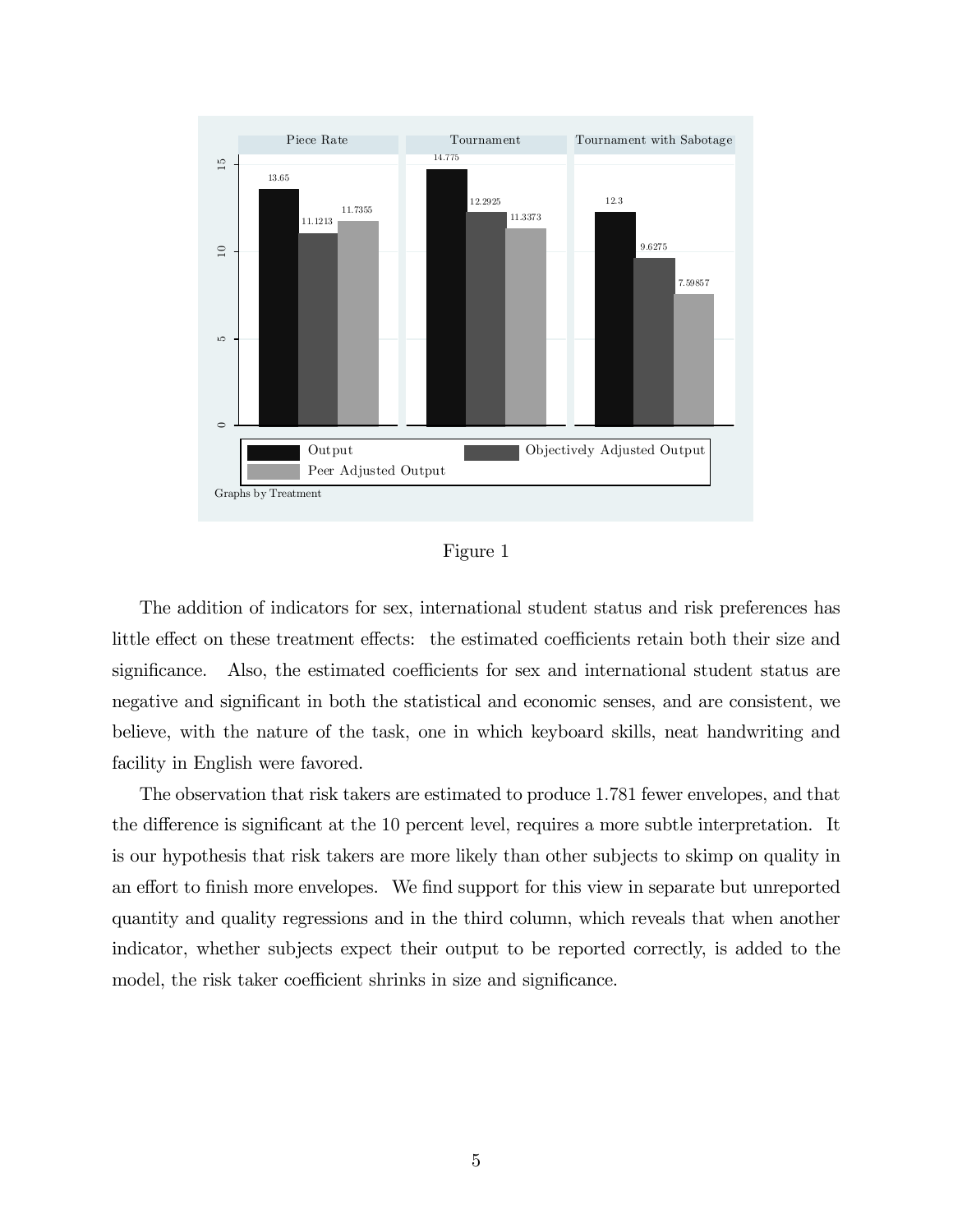

| onr∈ |  |
|------|--|
|      |  |

The addition of indicators for sex, international student status and risk preferences has little effect on these treatment effects: the estimated coefficients retain both their size and significance. Also, the estimated coefficients for sex and international student status are negative and significant in both the statistical and economic senses, and are consistent, we believe, with the nature of the task, one in which keyboard skills, neat handwriting and facility in English were favored.

The observation that risk takers are estimated to produce 1.781 fewer envelopes, and that the difference is significant at the 10 percent level, requires a more subtle interpretation. It is our hypothesis that risk takers are more likely than other subjects to skimp on quality in an effort to finish more envelopes. We find support for this view in separate but unreported quantity and quality regressions and in the third column, which reveals that when another indicator, whether subjects expect their output to be reported correctly, is added to the model, the risk taker coefficient shrinks in size and significance.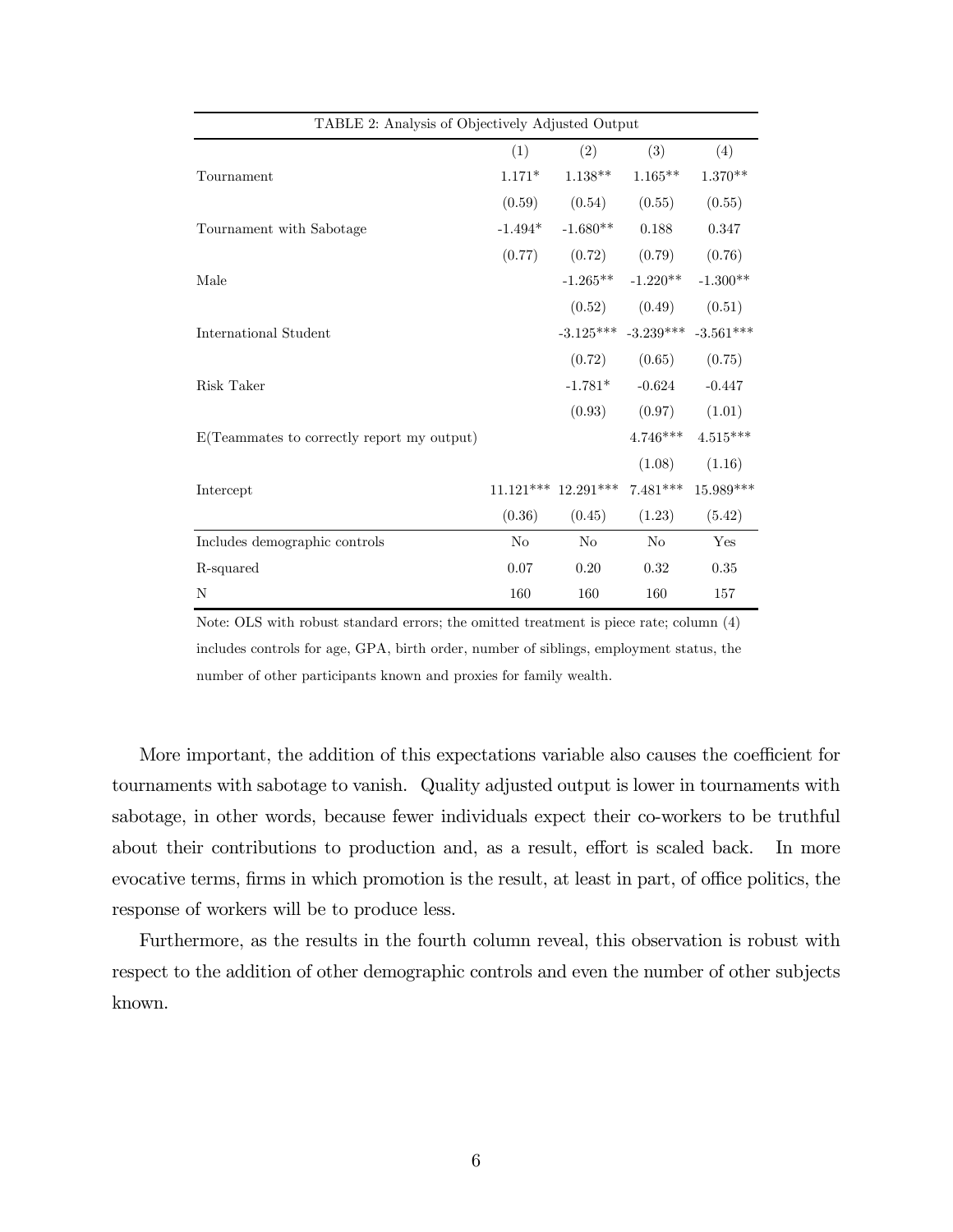| TABLE 2: Analysis of Objectively Adjusted Output |           |                       |                                     |             |
|--------------------------------------------------|-----------|-----------------------|-------------------------------------|-------------|
|                                                  | (1)       | (2)                   | (3)                                 | (4)         |
| Tournament                                       | $1.171*$  | $1.138**$             | $1.165***$                          | $1.370**$   |
|                                                  | (0.59)    | (0.54)                | (0.55)                              | (0.55)      |
| Tournament with Sabotage                         | $-1.494*$ | $-1.680**$            | 0.188                               | 0.347       |
|                                                  | (0.77)    | (0.72)                | (0.79)                              | (0.76)      |
| Male                                             |           | $-1.265***$           | $-1.220**$                          | $-1.300**$  |
|                                                  |           | (0.52)                | (0.49)                              | (0.51)      |
| International Student                            |           |                       | $-3.125***$ $-3.239***$ $-3.561***$ |             |
|                                                  |           | (0.72)                | (0.65)                              | (0.75)      |
| Risk Taker                                       |           | $-1.781*$             | $-0.624$                            | $-0.447$    |
|                                                  |           | (0.93)                | (0.97)                              | (1.01)      |
| E(Teammates to correctly report my output)       |           |                       | $4.746***$                          | $4.515***$  |
|                                                  |           |                       | (1.08)                              | (1.16)      |
| Intercept                                        |           | $11.121***$ 12.291*** | $7.481***$                          | $15.989***$ |
|                                                  | (0.36)    | (0.45)                | (1.23)                              | (5.42)      |
| Includes demographic controls                    | No        | N <sub>o</sub>        | No                                  | Yes         |
| R-squared                                        | 0.07      | 0.20                  | 0.32                                | 0.35        |
| N                                                | 160       | 160                   | 160                                 | 157         |

Note: OLS with robust standard errors; the omitted treatment is piece rate; column (4) includes controls for age, GPA, birth order, number of siblings, employment status, the number of other participants known and proxies for family wealth.

More important, the addition of this expectations variable also causes the coefficient for tournaments with sabotage to vanish. Quality adjusted output is lower in tournaments with sabotage, in other words, because fewer individuals expect their co-workers to be truthful about their contributions to production and, as a result, effort is scaled back. In more evocative terms, firms in which promotion is the result, at least in part, of office politics, the response of workers will be to produce less.

Furthermore, as the results in the fourth column reveal, this observation is robust with respect to the addition of other demographic controls and even the number of other subjects known.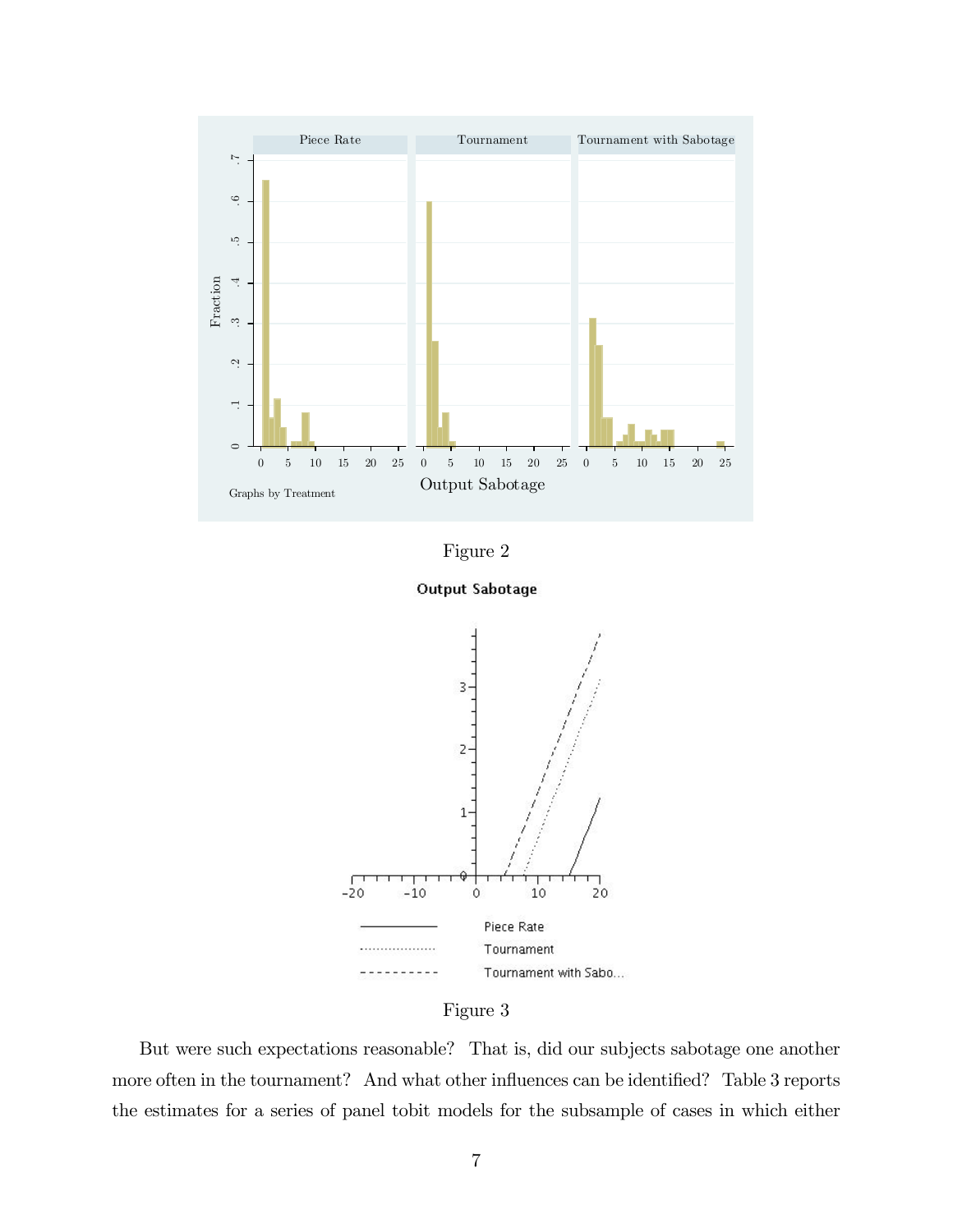









But were such expectations reasonable? That is, did our subjects sabotage one another more often in the tournament? And what other influences can be identified? Table 3 reports the estimates for a series of panel tobit models for the subsample of cases in which either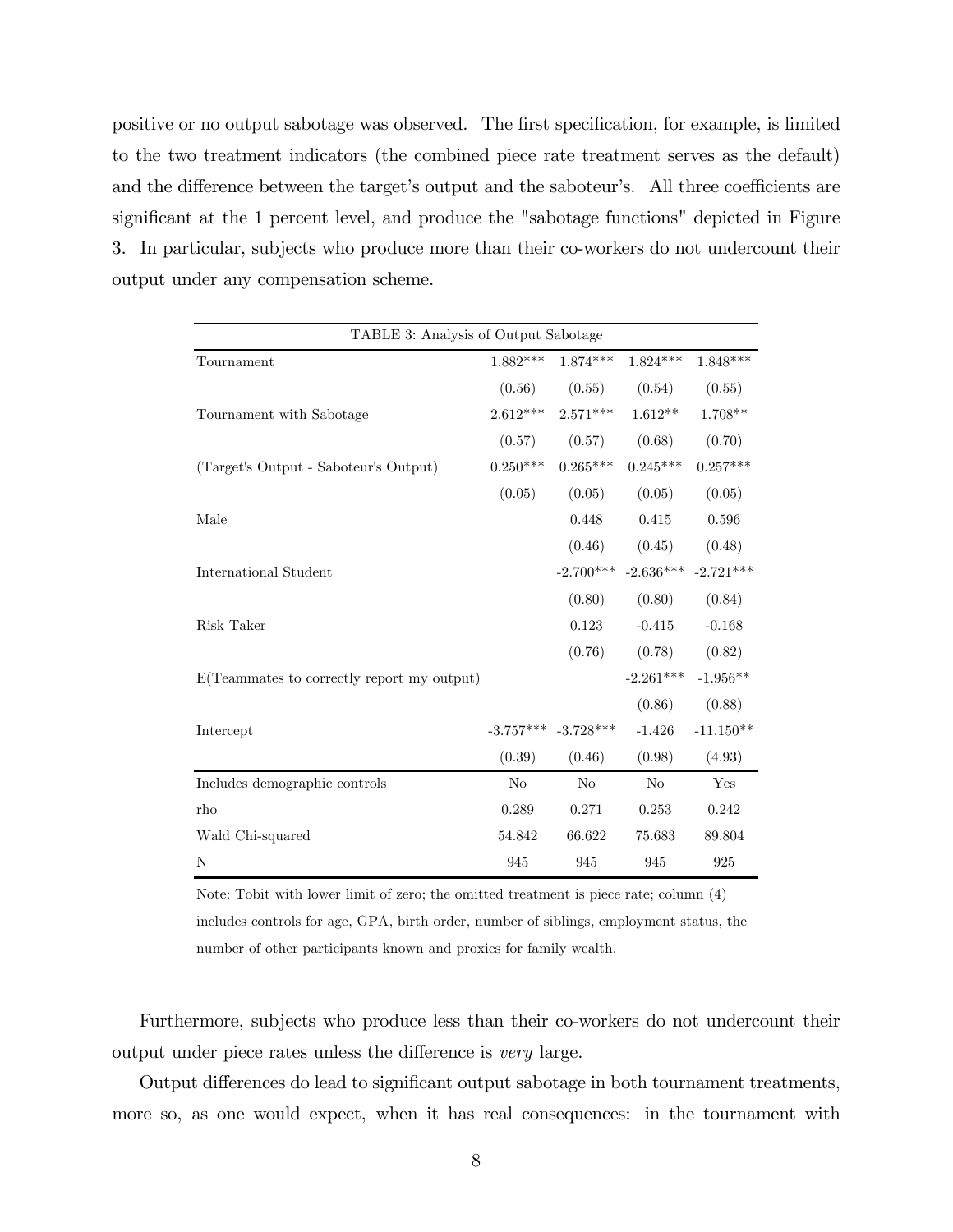positive or no output sabotage was observed. The first specification, for example, is limited to the two treatment indicators (the combined piece rate treatment serves as the default) and the difference between the target's output and the saboteur's. All three coefficients are significant at the 1 percent level, and produce the "sabotage functions" depicted in Figure 3. In particular, subjects who produce more than their co-workers do not undercount their output under any compensation scheme.

| TABLE 3: Analysis of Output Sabotage       |                |                         |                                     |             |  |
|--------------------------------------------|----------------|-------------------------|-------------------------------------|-------------|--|
| Tournament                                 | $1.882***$     | $1.874***$              | $1.824***$                          | $1.848***$  |  |
|                                            | (0.56)         | (0.55)                  | (0.54)                              | (0.55)      |  |
| Tournament with Sabotage                   | $2.612***$     | $2.571***$              | $1.612**$                           | 1.708**     |  |
|                                            | (0.57)         | (0.57)                  | (0.68)                              | (0.70)      |  |
| (Target's Output - Saboteur's Output)      | $0.250***$     | $0.265***$              | $0.245***$                          | $0.257***$  |  |
|                                            | (0.05)         | (0.05)                  | (0.05)                              | (0.05)      |  |
| Male                                       |                | 0.448                   | 0.415                               | 0.596       |  |
|                                            |                | (0.46)                  | (0.45)                              | (0.48)      |  |
| International Student                      |                |                         | $-2.700***$ $-2.636***$ $-2.721***$ |             |  |
|                                            |                | (0.80)                  | (0.80)                              | (0.84)      |  |
| Risk Taker                                 |                | 0.123                   | $-0.415$                            | $-0.168$    |  |
|                                            |                | (0.76)                  | (0.78)                              | (0.82)      |  |
| E(Teammates to correctly report my output) |                |                         | $-2.261***$                         | $-1.956**$  |  |
|                                            |                |                         | (0.86)                              | (0.88)      |  |
| Intercept                                  |                | $-3.757***$ $-3.728***$ | $-1.426$                            | $-11.150**$ |  |
|                                            | (0.39)         | (0.46)                  | (0.98)                              | (4.93)      |  |
| Includes demographic controls              | N <sub>o</sub> | N <sub>o</sub>          | N <sub>o</sub>                      | Yes         |  |
| rho                                        | 0.289          | 0.271                   | 0.253                               | 0.242       |  |
| Wald Chi-squared                           | 54.842         | 66.622                  | 75.683                              | 89.804      |  |
| N                                          | 945            | 945                     | 945                                 | 925         |  |

Note: Tobit with lower limit of zero; the omitted treatment is piece rate; column (4) includes controls for age, GPA, birth order, number of siblings, employment status, the number of other participants known and proxies for family wealth.

Furthermore, subjects who produce less than their co-workers do not undercount their output under piece rates unless the difference is very large.

Output differences do lead to significant output sabotage in both tournament treatments, more so, as one would expect, when it has real consequences: in the tournament with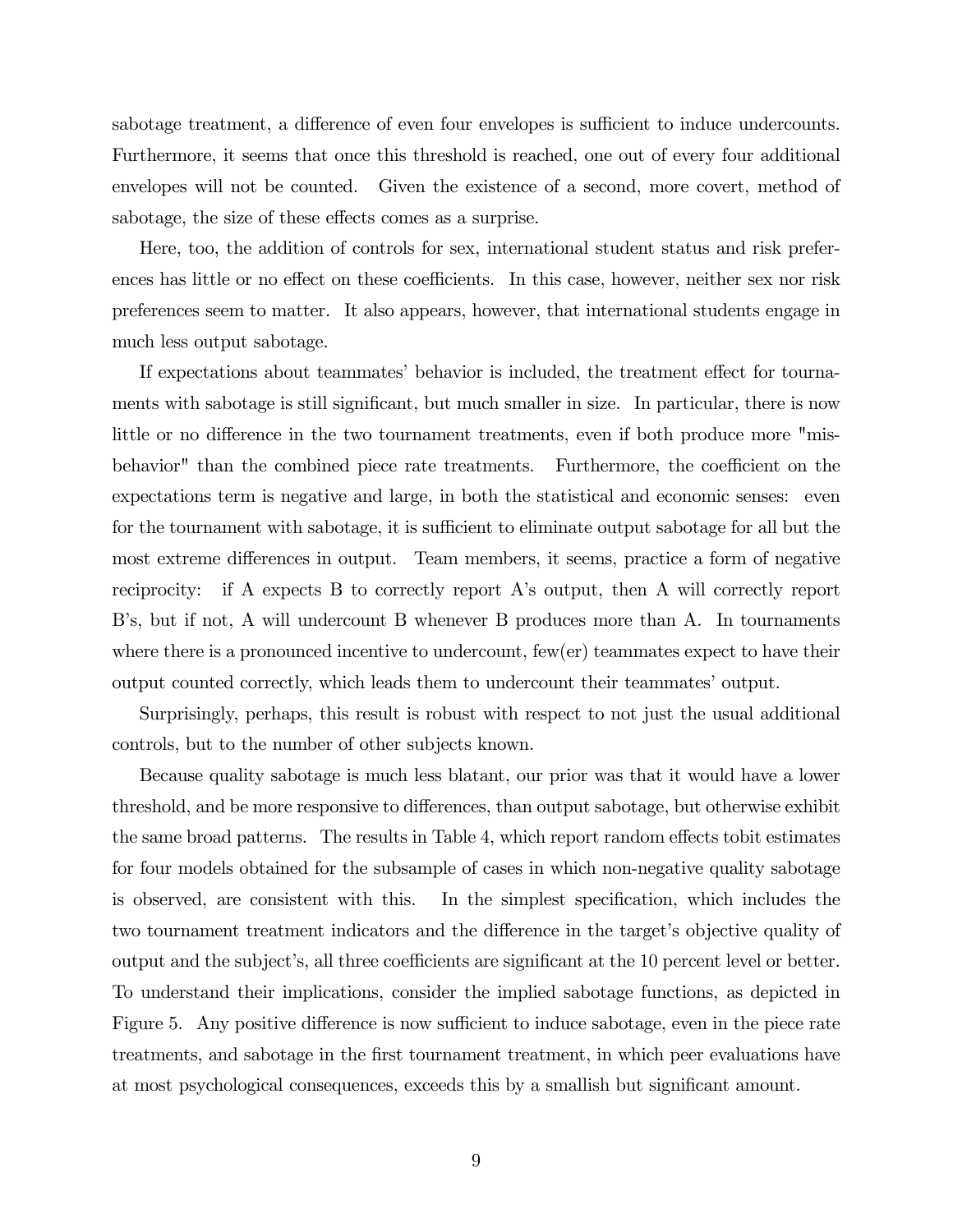sabotage treatment, a difference of even four envelopes is sufficient to induce undercounts. Furthermore, it seems that once this threshold is reached, one out of every four additional envelopes will not be counted. Given the existence of a second, more covert, method of sabotage, the size of these effects comes as a surprise.

Here, too, the addition of controls for sex, international student status and risk preferences has little or no effect on these coefficients. In this case, however, neither sex nor risk preferences seem to matter. It also appears, however, that international students engage in much less output sabotage.

If expectations about teammates' behavior is included, the treatment effect for tournaments with sabotage is still significant, but much smaller in size. In particular, there is now little or no difference in the two tournament treatments, even if both produce more "misbehavior" than the combined piece rate treatments. Furthermore, the coefficient on the expectations term is negative and large, in both the statistical and economic senses: even for the tournament with sabotage, it is sufficient to eliminate output sabotage for all but the most extreme differences in output. Team members, it seems, practice a form of negative reciprocity: if A expects B to correctly report A's output, then A will correctly report B's, but if not, A will undercount B whenever B produces more than A. In tournaments where there is a pronounced incentive to undercount, few(er) teammates expect to have their output counted correctly, which leads them to undercount their teammates' output.

Surprisingly, perhaps, this result is robust with respect to not just the usual additional controls, but to the number of other subjects known.

Because quality sabotage is much less blatant, our prior was that it would have a lower threshold, and be more responsive to differences, than output sabotage, but otherwise exhibit the same broad patterns. The results in Table 4, which report random effects tobit estimates for four models obtained for the subsample of cases in which non-negative quality sabotage is observed, are consistent with this. In the simplest specification, which includes the two tournament treatment indicators and the difference in the target's objective quality of output and the subject's, all three coefficients are significant at the 10 percent level or better. To understand their implications, consider the implied sabotage functions, as depicted in Figure 5. Any positive difference is now sufficient to induce sabotage, even in the piece rate treatments, and sabotage in the first tournament treatment, in which peer evaluations have at most psychological consequences, exceeds this by a smallish but significant amount.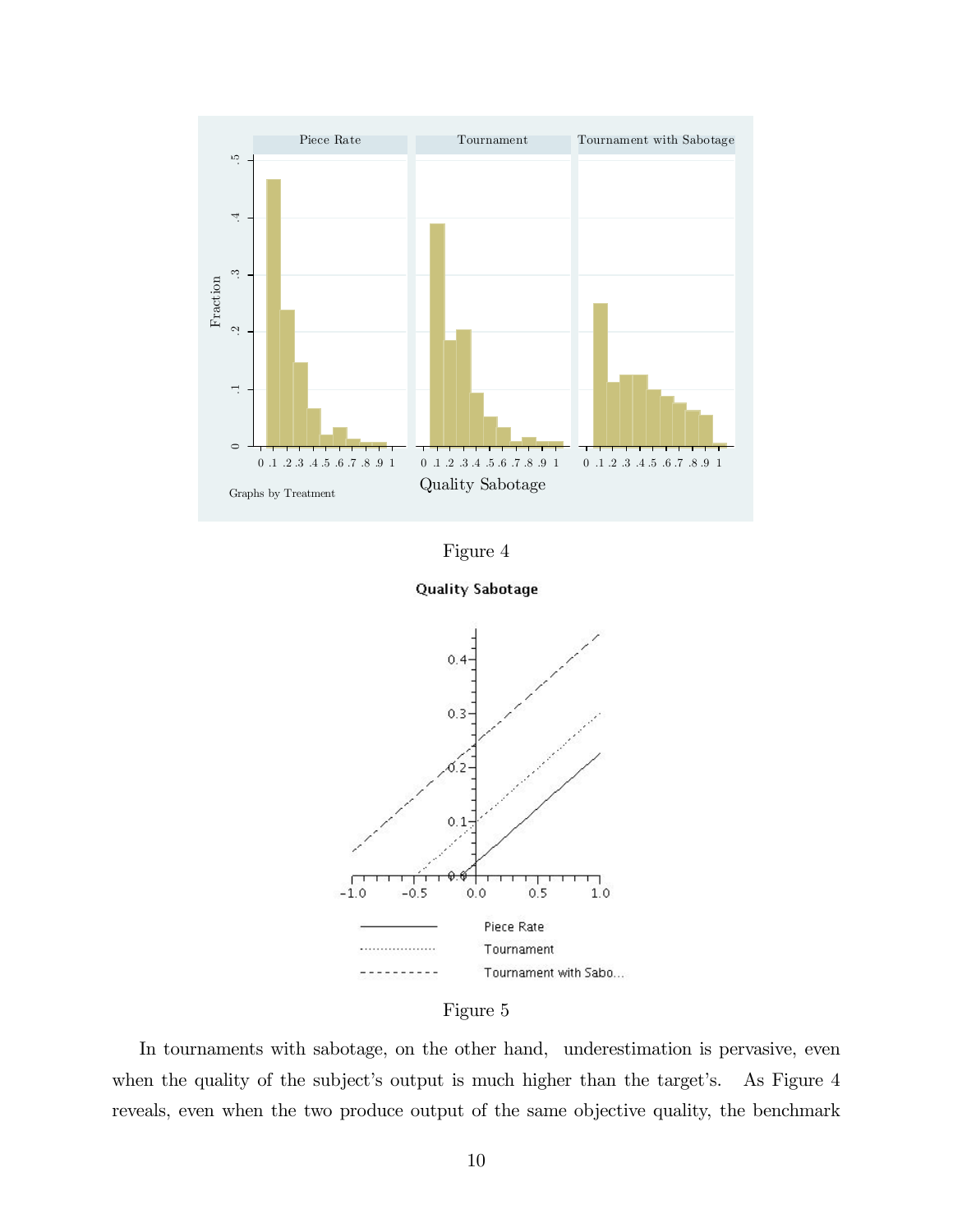









In tournaments with sabotage, on the other hand, underestimation is pervasive, even when the quality of the subject's output is much higher than the target's. As Figure 4 reveals, even when the two produce output of the same objective quality, the benchmark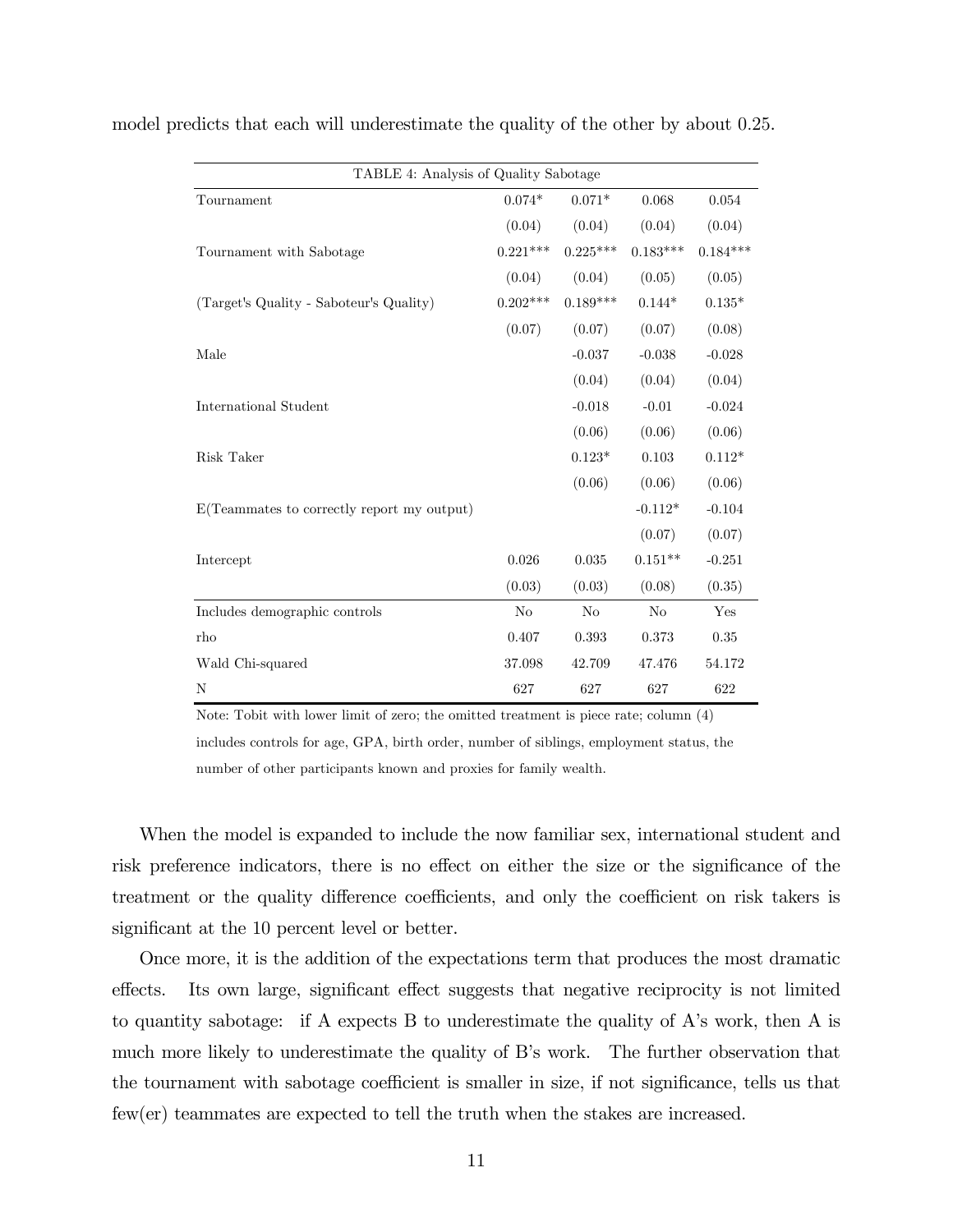| TABLE 4: Analysis of Quality Sabotage      |                |            |                |            |
|--------------------------------------------|----------------|------------|----------------|------------|
| Tournament                                 | $0.074*$       | $0.071*$   | 0.068          | 0.054      |
|                                            | (0.04)         | (0.04)     | (0.04)         | (0.04)     |
| Tournament with Sabotage                   | $0.221***$     | $0.225***$ | $0.183***$     | $0.184***$ |
|                                            | (0.04)         | (0.04)     | (0.05)         | (0.05)     |
| (Target's Quality - Saboteur's Quality)    | $0.202***$     | $0.189***$ | $0.144*$       | $0.135*$   |
|                                            | (0.07)         | (0.07)     | (0.07)         | (0.08)     |
| Male                                       |                | $-0.037$   | $-0.038$       | $-0.028$   |
|                                            |                | (0.04)     | (0.04)         | (0.04)     |
| International Student                      |                | $-0.018$   | $-0.01$        | $-0.024$   |
|                                            |                | (0.06)     | (0.06)         | (0.06)     |
| Risk Taker                                 |                | $0.123*$   | 0.103          | $0.112*$   |
|                                            |                | (0.06)     | (0.06)         | (0.06)     |
| E(Teammates to correctly report my output) |                |            | $-0.112*$      | $-0.104$   |
|                                            |                |            | (0.07)         | (0.07)     |
| Intercept                                  | 0.026          | 0.035      | $0.151**$      | $-0.251$   |
|                                            | (0.03)         | (0.03)     | (0.08)         | (0.35)     |
| Includes demographic controls              | N <sub>o</sub> | $\rm No$   | N <sub>o</sub> | Yes        |
| rho                                        | 0.407          | 0.393      | 0.373          | 0.35       |
| Wald Chi-squared                           | 37.098         | 42.709     | 47.476         | 54.172     |
| N                                          | 627            | 627        | 627            | 622        |

model predicts that each will underestimate the quality of the other by about 0.25.

Note: Tobit with lower limit of zero; the omitted treatment is piece rate; column (4) includes controls for age, GPA, birth order, number of siblings, employment status, the number of other participants known and proxies for family wealth.

When the model is expanded to include the now familiar sex, international student and risk preference indicators, there is no effect on either the size or the significance of the treatment or the quality difference coefficients, and only the coefficient on risk takers is significant at the 10 percent level or better.

Once more, it is the addition of the expectations term that produces the most dramatic effects. Its own large, significant effect suggests that negative reciprocity is not limited to quantity sabotage: if A expects B to underestimate the quality of A's work, then A is much more likely to underestimate the quality of B's work. The further observation that the tournament with sabotage coefficient is smaller in size, if not significance, tells us that few(er) teammates are expected to tell the truth when the stakes are increased.